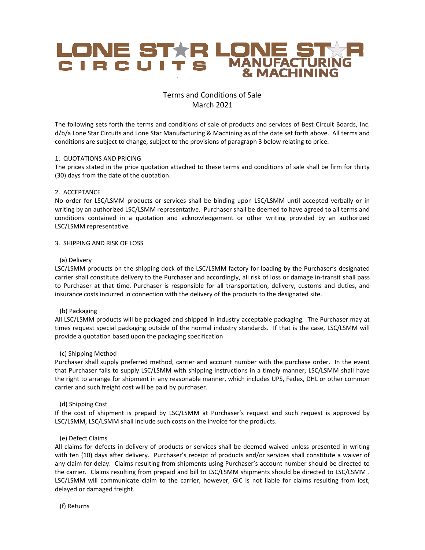

# Terms and Conditions of Sale March 2021

The following sets forth the terms and conditions of sale of products and services of Best Circuit Boards, Inc. d/b/a Lone Star Circuits and Lone Star Manufacturing & Machining as of the date set forth above. All terms and conditions are subject to change, subject to the provisions of paragraph 3 below relating to price.

## 1. QUOTATIONS AND PRICING

The prices stated in the price quotation attached to these terms and conditions of sale shall be firm for thirty (30) days from the date of the quotation.

## 2. ACCEPTANCE

No order for LSC/LSMM products or services shall be binding upon LSC/LSMM until accepted verbally or in writing by an authorized LSC/LSMM representative. Purchaser shall be deemed to have agreed to all terms and conditions contained in a quotation and acknowledgement or other writing provided by an authorized LSC/LSMM representative.

## 3. SHIPPING AND RISK OF LOSS

## (a) Delivery

LSC/LSMM products on the shipping dock of the LSC/LSMM factory for loading by the Purchaser's designated carrier shall constitute delivery to the Purchaser and accordingly, all risk of loss or damage in-transit shall pass to Purchaser at that time. Purchaser is responsible for all transportation, delivery, customs and duties, and insurance costs incurred in connection with the delivery of the products to the designated site.

## (b) Packaging

All LSC/LSMM products will be packaged and shipped in industry acceptable packaging. The Purchaser may at times request special packaging outside of the normal industry standards. If that is the case, LSC/LSMM will provide a quotation based upon the packaging specification

## (c) Shipping Method

Purchaser shall supply preferred method, carrier and account number with the purchase order. In the event that Purchaser fails to supply LSC/LSMM with shipping instructions in a timely manner, LSC/LSMM shall have the right to arrange for shipment in any reasonable manner, which includes UPS, Fedex, DHL or other common carrier and such freight cost will be paid by purchaser.

## (d) Shipping Cost

If the cost of shipment is prepaid by LSC/LSMM at Purchaser's request and such request is approved by LSC/LSMM, LSC/LSMM shall include such costs on the invoice for the products.

## (e) Defect Claims

All claims for defects in delivery of products or services shall be deemed waived unless presented in writing with ten (10) days after delivery. Purchaser's receipt of products and/or services shall constitute a waiver of any claim for delay. Claims resulting from shipments using Purchaser's account number should be directed to the carrier. Claims resulting from prepaid and bill to LSC/LSMM shipments should be directed to LSC/LSMM . LSC/LSMM will communicate claim to the carrier, however, GIC is not liable for claims resulting from lost, delayed or damaged freight.

(f) Returns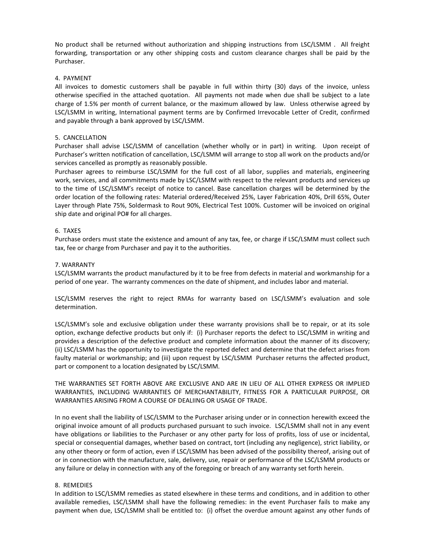No product shall be returned without authorization and shipping instructions from LSC/LSMM . All freight forwarding, transportation or any other shipping costs and custom clearance charges shall be paid by the Purchaser.

## 4. PAYMENT

All invoices to domestic customers shall be payable in full within thirty (30) days of the invoice, unless otherwise specified in the attached quotation. All payments not made when due shall be subject to a late charge of 1.5% per month of current balance, or the maximum allowed by law. Unless otherwise agreed by LSC/LSMM in writing, International payment terms are by Confirmed Irrevocable Letter of Credit, confirmed and payable through a bank approved by LSC/LSMM.

## 5. CANCELLATION

Purchaser shall advise LSC/LSMM of cancellation (whether wholly or in part) in writing. Upon receipt of Purchaser's written notification of cancellation, LSC/LSMM will arrange to stop all work on the products and/or services cancelled as promptly as reasonably possible.

Purchaser agrees to reimburse LSC/LSMM for the full cost of all labor, supplies and materials, engineering work, services, and all commitments made by LSC/LSMM with respect to the relevant products and services up to the time of LSC/LSMM's receipt of notice to cancel. Base cancellation charges will be determined by the order location of the following rates: Material ordered/Received 25%, Layer Fabrication 40%, Drill 65%, Outer Layer through Plate 75%, Soldermask to Rout 90%, Electrical Test 100%. Customer will be invoiced on original ship date and original PO# for all charges.

## 6. TAXES

Purchase orders must state the existence and amount of any tax, fee, or charge if LSC/LSMM must collect such tax, fee or charge from Purchaser and pay it to the authorities.

## 7. WARRANTY

LSC/LSMM warrants the product manufactured by it to be free from defects in material and workmanship for a period of one year. The warranty commences on the date of shipment, and includes labor and material.

LSC/LSMM reserves the right to reject RMAs for warranty based on LSC/LSMM's evaluation and sole determination.

LSC/LSMM's sole and exclusive obligation under these warranty provisions shall be to repair, or at its sole option, exchange defective products but only if: (i) Purchaser reports the defect to LSC/LSMM in writing and provides a description of the defective product and complete information about the manner of its discovery; (ii) LSC/LSMM has the opportunity to investigate the reported defect and determine that the defect arises from faulty material or workmanship; and (iii) upon request by LSC/LSMM Purchaser returns the affected product, part or component to a location designated by LSC/LSMM.

THE WARRANTIES SET FORTH ABOVE ARE EXCLUSIVE AND ARE IN LIEU OF ALL OTHER EXPRESS OR IMPLIED WARRANTIES, INCLUDING WARRANTIES OF MERCHANTABILITY, FITNESS FOR A PARTICULAR PURPOSE, OR WARRANTIES ARISING FROM A COURSE OF DEALIING OR USAGE OF TRADE.

In no event shall the liability of LSC/LSMM to the Purchaser arising under or in connection herewith exceed the original invoice amount of all products purchased pursuant to such invoice. LSC/LSMM shall not in any event have obligations or liabilities to the Purchaser or any other party for loss of profits, loss of use or incidental, special or consequential damages, whether based on contract, tort (including any negligence), strict liability, or any other theory or form of action, even if LSC/LSMM has been advised of the possibility thereof, arising out of or in connection with the manufacture, sale, delivery, use, repair or performance of the LSC/LSMM products or any failure or delay in connection with any of the foregoing or breach of any warranty set forth herein.

## 8. REMEDIES

In addition to LSC/LSMM remedies as stated elsewhere in these terms and conditions, and in addition to other available remedies, LSC/LSMM shall have the following remedies: in the event Purchaser fails to make any payment when due, LSC/LSMM shall be entitled to: (i) offset the overdue amount against any other funds of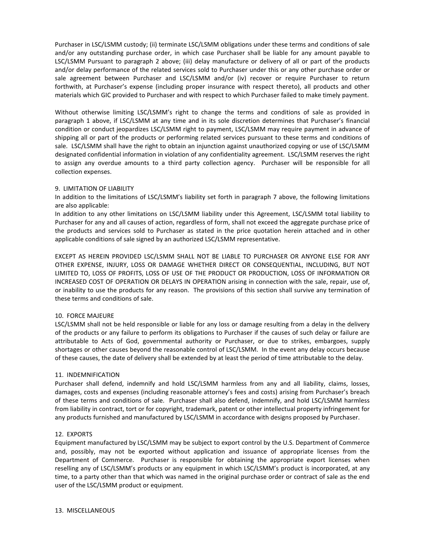Purchaser in LSC/LSMM custody; (ii) terminate LSC/LSMM obligations under these terms and conditions of sale and/or any outstanding purchase order, in which case Purchaser shall be liable for any amount payable to LSC/LSMM Pursuant to paragraph 2 above; (iii) delay manufacture or delivery of all or part of the products and/or delay performance of the related services sold to Purchaser under this or any other purchase order or sale agreement between Purchaser and LSC/LSMM and/or (iv) recover or require Purchaser to return forthwith, at Purchaser's expense (including proper insurance with respect thereto), all products and other materials which GIC provided to Purchaser and with respect to which Purchaser failed to make timely payment.

Without otherwise limiting LSC/LSMM's right to change the terms and conditions of sale as provided in paragraph 1 above, if LSC/LSMM at any time and in its sole discretion determines that Purchaser's financial condition or conduct jeopardizes LSC/LSMM right to payment, LSC/LSMM may require payment in advance of shipping all or part of the products or performing related services pursuant to these terms and conditions of sale. LSC/LSMM shall have the right to obtain an injunction against unauthorized copying or use of LSC/LSMM designated confidential information in violation of any confidentiality agreement. LSC/LSMM reserves the right to assign any overdue amounts to a third party collection agency. Purchaser will be responsible for all collection expenses.

## 9. LIMITATION OF LIABILITY

In addition to the limitations of LSC/LSMM's liability set forth in paragraph 7 above, the following limitations are also applicable:

In addition to any other limitations on LSC/LSMM liability under this Agreement, LSC/LSMM total liability to Purchaser for any and all causes of action, regardless of form, shall not exceed the aggregate purchase price of the products and services sold to Purchaser as stated in the price quotation herein attached and in other applicable conditions of sale signed by an authorized LSC/LSMM representative.

EXCEPT AS HEREIN PROVIDED LSC/LSMM SHALL NOT BE LIABLE TO PURCHASER OR ANYONE ELSE FOR ANY OTHER EXPENSE, INJURY, LOSS OR DAMAGE WHETHER DIRECT OR CONSEQUENTIAL, INCLUDING, BUT NOT LIMITED TO, LOSS OF PROFITS, LOSS OF USE OF THE PRODUCT OR PRODUCTION, LOSS OF INFORMATION OR INCREASED COST OF OPERATION OR DELAYS IN OPERATION arising in connection with the sale, repair, use of, or inability to use the products for any reason. The provisions of this section shall survive any termination of these terms and conditions of sale.

## 10. FORCE MAJEURE

LSC/LSMM shall not be held responsible or liable for any loss or damage resulting from a delay in the delivery of the products or any failure to perform its obligations to Purchaser if the causes of such delay or failure are attributable to Acts of God, governmental authority or Purchaser, or due to strikes, embargoes, supply shortages or other causes beyond the reasonable control of LSC/LSMM. In the event any delay occurs because of these causes, the date of delivery shall be extended by at least the period of time attributable to the delay.

## 11. INDEMNIFICATION

Purchaser shall defend, indemnify and hold LSC/LSMM harmless from any and all liability, claims, losses, damages, costs and expenses (including reasonable attorney's fees and costs) arising from Purchaser's breach of these terms and conditions of sale. Purchaser shall also defend, indemnify, and hold LSC/LSMM harmless from liability in contract, tort or for copyright, trademark, patent or other intellectual property infringement for any products furnished and manufactured by LSC/LSMM in accordance with designs proposed by Purchaser.

## 12. EXPORTS

Equipment manufactured by LSC/LSMM may be subject to export control by the U.S. Department of Commerce and, possibly, may not be exported without application and issuance of appropriate licenses from the Department of Commerce. Purchaser is responsible for obtaining the appropriate export licenses when reselling any of LSC/LSMM's products or any equipment in which LSC/LSMM's product is incorporated, at any time, to a party other than that which was named in the original purchase order or contract of sale as the end user of the LSC/LSMM product or equipment.